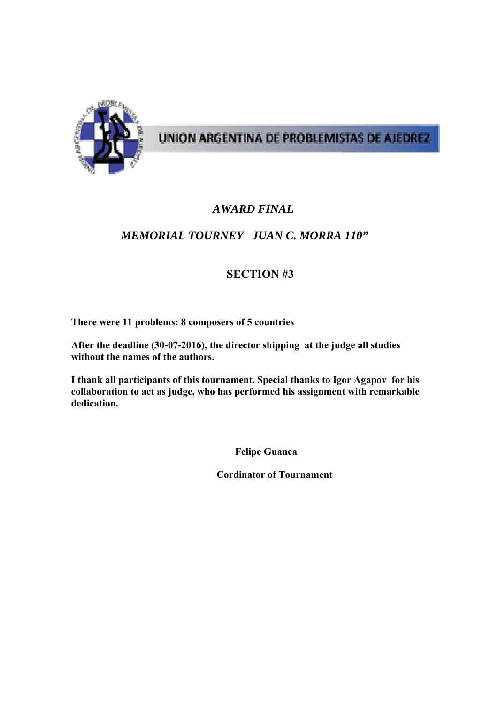

# UNION ARGENTINA DE PROBLEMISTAS DE AJEDREZ

### *AWARD FINAL*

### *MEMORIAL TOURNEY JUAN C. MORRA 110"*

### **SECTION #3**

**There were 11 problems: 8 composers of 5 countries** 

**After the deadline (30-07-2016), the director shipping at the judge all studies without the names of the authors.** 

**I thank all participants of this tournament. Special thanks to Igor Agapov for his collaboration to act as judge, who has performed his assignment with remarkable dedication.** 

 **Felipe Guanca** 

 **Cordinator of Tournament**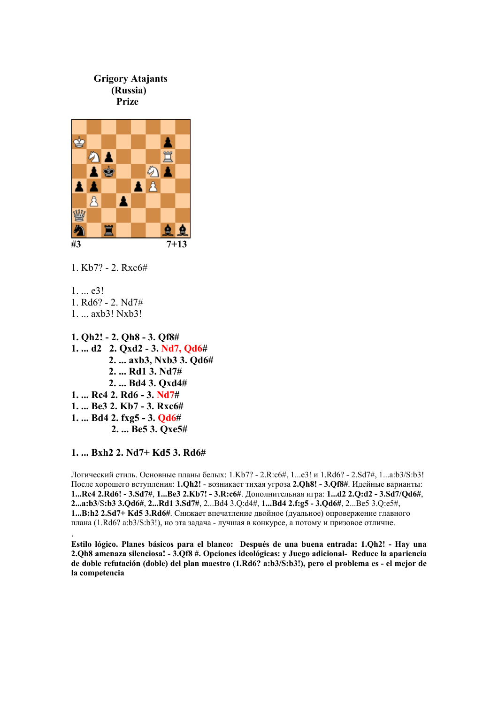

 **2. ... Rd1 3. Nd7# 2. ... Bd4 3. Qxd4# 1. ... Rc4 2. Rd6 - 3. Nd7# 1. ... Be3 2. Kb7 - 3. Rxc6# 1. ... Bd4 2. fxg5 - 3. Qd6# 2. ... Be5 3. Qxe5#** 

#### **1. ... Bxh2 2. Nd7+ Kd5 3. Rd6#**

.

Логический стиль. Основные планы белых: 1.Kb7? - 2.R:c6#, 1...e3! и 1.Rd6? - 2.Sd7#, 1...a:b3/S:b3! После хорошего вступления: **1.Qh2!** - возникает тихая угроза **2.Qh8! - 3.Qf8#**. Идейные варианты: **1...Rc4 2.Rd6! - 3.Sd7#**, **1...Be3 2.Kb7! - 3.R:c6#**. Дополнительная игра: **1...d2 2.Q:d2 - 3.Sd7/Qd6#**, **2...a:b3**/S**:b3 3.Qd6#**, **2...Rd1 3.Sd7#**, 2...Bd4 3.Q:d4#, **1...Bd4 2.f:g5 - 3.Qd6#**, 2...Be5 3.Q:e5#, **1...B:h2 2.Sd7+ Kd5 3.Rd6#**. Снижает впечатление двойное (дуальное) опровержение главного плана (1.Rd6? a:b3/S:b3!), но эта задача - лучшая в конкурсе, а потому и призовое отличие.

**Estilo lógico. Planes básicos para el blanco: Después de una buena entrada: 1.Qh2! - Hay una 2.Qh8 amenaza silenciosa! - 3.Qf8 #. Opciones ideológicas: y Juego adicional- Reduce la apariencia de doble refutación (doble) del plan maestro (1.Rd6? a:b3/S:b3!), pero el problema es - el mejor de la competencia**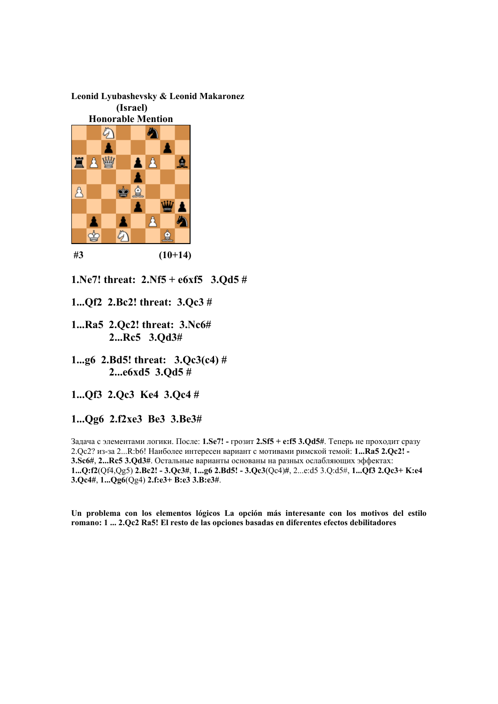## **Leonid Lyubashevsky & Leonid Makaronez**



**1.Ne7! threat: 2.Nf5 + e6xf5 3.Qd5 #** 

- **1...Qf2 2.Bc2! threat: 3.Qc3 #**
- **1...Ra5 2.Qc2! threat: 3.Nc6# 2...Rc5 3.Qd3#**

**1...g6 2.Bd5! threat: 3.Qc3(с4) # 2...e6xd5 3.Qd5 #** 

**1...Qf3 2.Qc3 Ke4 3.Qc4 #** 

**1...Qg6 2.f2xe3 Be3 3.Be3#**

Задача с элементами логики. После: **1.Se7! -** грозит **2.Sf5 + e:f5 3.Qd5#**. Теперь не проходит сразу 2.Qc2? из-за 2...R:b6! Наиболее интересен вариант с мотивами римской темой: **1...Ra5 2.Qc2! - 3.Sc6#**, **2...Rc5 3.Qd3#**. Остальные варианты основаны на разных ослабляющих эффектах: **1...Q:f2**(Qf4,Qg5) **2.Bc2! - 3.Qc3#**, **1...g6 2.Bd5! - 3.Qc3**(Qс4)**#**, 2...e:d5 3.Q:d5#, **1...Qf3 2.Qc3+ K:e4 3.Qc4#**, **1...Qg6**(Qg4) **2.f:e3+ B:e3 3.B:e3#**.

**Un problema con los elementos lógicos La opción más interesante con los motivos del estilo romano: 1 ... 2.Qc2 Ra5! El resto de las opciones basadas en diferentes efectos debilitadores**